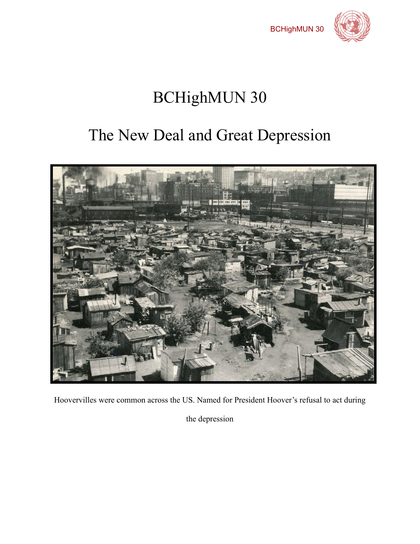



# BCHighMUN 30

# The New Deal and Great Depression



Hoovervilles were common across the US. Named for President Hoover's refusal to act during

the depression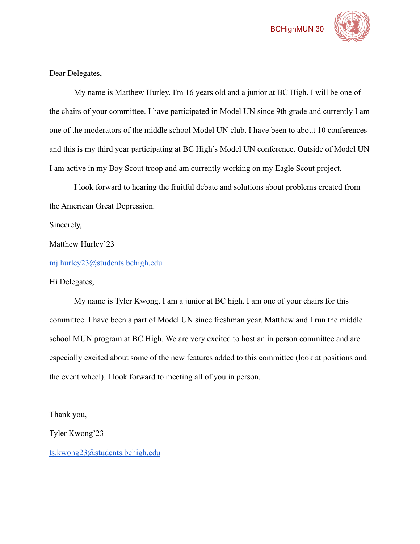



Dear Delegates,

My name is Matthew Hurley. I'm 16 years old and a junior at BC High. I will be one of the chairs of your committee. I have participated in Model UN since 9th grade and currently I am one of the moderators of the middle school Model UN club. I have been to about 10 conferences and this is my third year participating at BC High's Model UN conference. Outside of Model UN I am active in my Boy Scout troop and am currently working on my Eagle Scout project.

I look forward to hearing the fruitful debate and solutions about problems created from the American Great Depression.

Sincerely,

Matthew Hurley'23

[mj.hurley23@students.bchigh.edu](mailto:mj.hurley23@students.bchigh.edu)

Hi Delegates,

My name is Tyler Kwong. I am a junior at BC high. I am one of your chairs for this committee. I have been a part of Model UN since freshman year. Matthew and I run the middle school MUN program at BC High. We are very excited to host an in person committee and are especially excited about some of the new features added to this committee (look at positions and the event wheel). I look forward to meeting all of you in person.

Thank you,

Tyler Kwong'23

[ts.kwong23@students.bchigh.edu](mailto:ts.kwong23@students.bchigh.edu)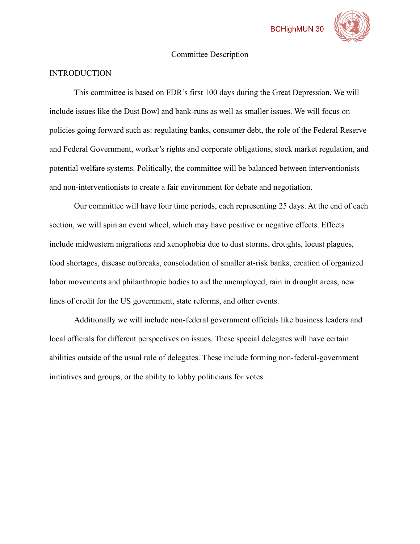

#### Committee Description

## **INTRODUCTION**

This committee is based on FDR's first 100 days during the Great Depression. We will include issues like the Dust Bowl and bank-runs as well as smaller issues. We will focus on policies going forward such as: regulating banks, consumer debt, the role of the Federal Reserve and Federal Government, worker's rights and corporate obligations, stock market regulation, and potential welfare systems. Politically, the committee will be balanced between interventionists and non-interventionists to create a fair environment for debate and negotiation.

Our committee will have four time periods, each representing 25 days. At the end of each section, we will spin an event wheel, which may have positive or negative effects. Effects include midwestern migrations and xenophobia due to dust storms, droughts, locust plagues, food shortages, disease outbreaks, consolodation of smaller at-risk banks, creation of organized labor movements and philanthropic bodies to aid the unemployed, rain in drought areas, new lines of credit for the US government, state reforms, and other events.

Additionally we will include non-federal government officials like business leaders and local officials for different perspectives on issues. These special delegates will have certain abilities outside of the usual role of delegates. These include forming non-federal-government initiatives and groups, or the ability to lobby politicians for votes.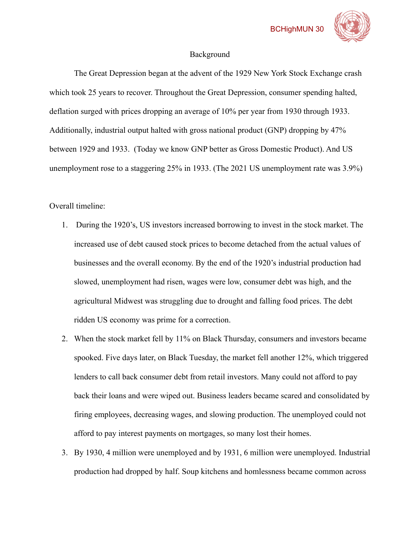

#### Background

The Great Depression began at the advent of the 1929 New York Stock Exchange crash which took 25 years to recover. Throughout the Great Depression, consumer spending halted, deflation surged with prices dropping an average of 10% per year from 1930 through 1933. Additionally, industrial output halted with gross national product (GNP) dropping by 47% between 1929 and 1933. (Today we know GNP better as Gross Domestic Product). And US unemployment rose to a staggering 25% in 1933. (The 2021 US unemployment rate was 3.9%)

Overall timeline:

- 1. During the 1920's, US investors increased borrowing to invest in the stock market. The increased use of debt caused stock prices to become detached from the actual values of businesses and the overall economy. By the end of the 1920's industrial production had slowed, unemployment had risen, wages were low, consumer debt was high, and the agricultural Midwest was struggling due to drought and falling food prices. The debt ridden US economy was prime for a correction.
- 2. When the stock market fell by 11% on Black Thursday, consumers and investors became spooked. Five days later, on Black Tuesday, the market fell another 12%, which triggered lenders to call back consumer debt from retail investors. Many could not afford to pay back their loans and were wiped out. Business leaders became scared and consolidated by firing employees, decreasing wages, and slowing production. The unemployed could not afford to pay interest payments on mortgages, so many lost their homes.
- 3. By 1930, 4 million were unemployed and by 1931, 6 million were unemployed. Industrial production had dropped by half. Soup kitchens and homlessness became common across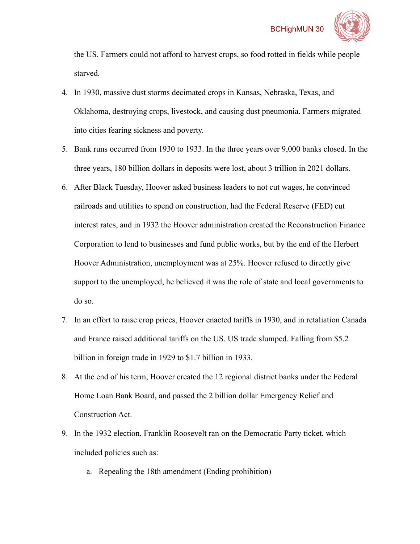

the US. Farmers could not afford to harvest crops, so food rotted in fields while people starved.

- 4. In 1930, massive dust storms decimated crops in Kansas, Nebraska, Texas, and Oklahoma, destroying crops, livestock, and causing dust pneumonia. Farmers migrated into cities fearing sickness and poverty.
- 5. Bank runs occurred from 1930 to 1933. In the three years over 9,000 banks closed. In the three years, 180 billion dollars in deposits were lost, about 3 trillion in 2021 dollars.
- 6. After Black Tuesday, Hoover asked business leaders to not cut wages, he convinced railroads and utilities to spend on construction, had the Federal Reserve (FED) cut interest rates, and in 1932 the Hoover administration created the Reconstruction Finance Corporation to lend to businesses and fund public works, but by the end of the Herbert Hoover Administration, unemployment was at 25%. Hoover refused to directly give support to the unemployed, he believed it was the role of state and local governments to do so.
- 7. In an effort to raise crop prices, Hoover enacted tariffs in 1930, and in retaliation Canada and France raised additional tariffs on the US. US trade slumped. Falling from \$5.2 billion in foreign trade in 1929 to \$1.7 billion in 1933.
- 8. At the end of his term, Hoover created the 12 regional district banks under the Federal Home Loan Bank Board, and passed the 2 billion dollar Emergency Relief and Construction Act.
- 9. In the 1932 election, Franklin Roosevelt ran on the Democratic Party ticket, which included policies such as:
	- a. Repealing the 18th amendment (Ending prohibition)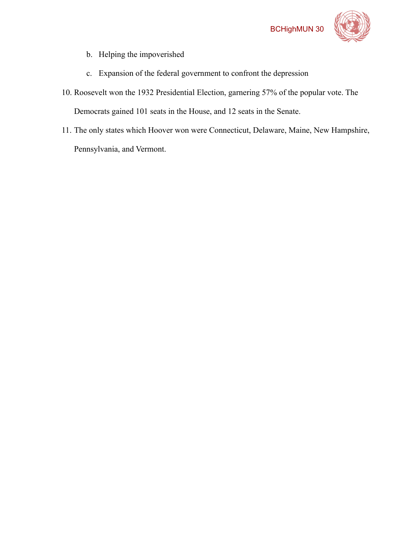

- b. Helping the impoverished
- c. Expansion of the federal government to confront the depression
- 10. Roosevelt won the 1932 Presidential Election, garnering 57% of the popular vote. The Democrats gained 101 seats in the House, and 12 seats in the Senate.
- 11. The only states which Hoover won were Connecticut, Delaware, Maine, New Hampshire, Pennsylvania, and Vermont.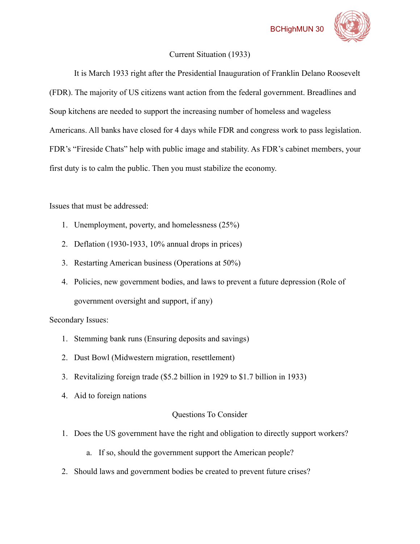# Current Situation (1933)

It is March 1933 right after the Presidential Inauguration of Franklin Delano Roosevelt (FDR). The majority of US citizens want action from the federal government. Breadlines and Soup kitchens are needed to support the increasing number of homeless and wageless Americans. All banks have closed for 4 days while FDR and congress work to pass legislation. FDR's "Fireside Chats" help with public image and stability. As FDR's cabinet members, your first duty is to calm the public. Then you must stabilize the economy.

Issues that must be addressed:

- 1. Unemployment, poverty, and homelessness (25%)
- 2. Deflation (1930-1933, 10% annual drops in prices)
- 3. Restarting American business (Operations at 50%)
- 4. Policies, new government bodies, and laws to prevent a future depression (Role of government oversight and support, if any)

Secondary Issues:

- 1. Stemming bank runs (Ensuring deposits and savings)
- 2. Dust Bowl (Midwestern migration, resettlement)
- 3. Revitalizing foreign trade (\$5.2 billion in 1929 to \$1.7 billion in 1933)
- 4. Aid to foreign nations

# Questions To Consider

- 1. Does the US government have the right and obligation to directly support workers?
	- a. If so, should the government support the American people?
- 2. Should laws and government bodies be created to prevent future crises?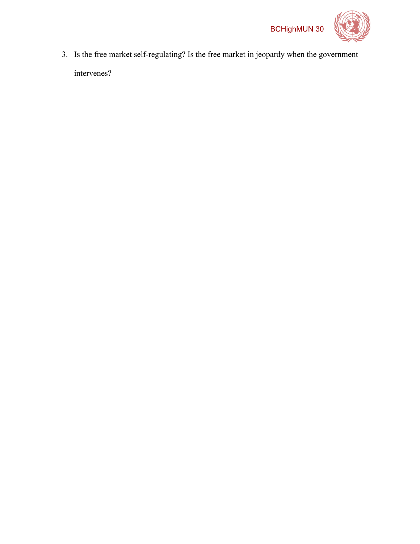

3. Is the free market self-regulating? Is the free market in jeopardy when the government intervenes?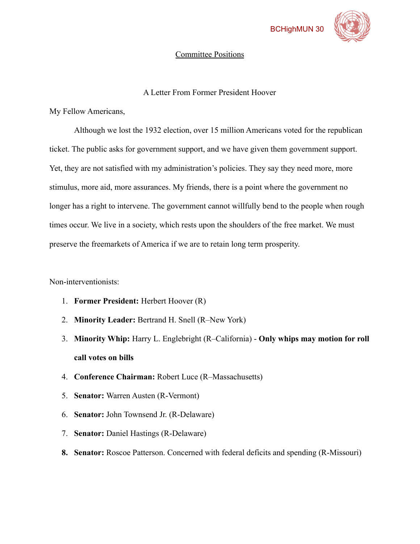

#### Committee Positions

## A Letter From Former President Hoover

My Fellow Americans,

Although we lost the 1932 election, over 15 million Americans voted for the republican ticket. The public asks for government support, and we have given them government support. Yet, they are not satisfied with my administration's policies. They say they need more, more stimulus, more aid, more assurances. My friends, there is a point where the government no longer has a right to intervene. The government cannot willfully bend to the people when rough times occur. We live in a society, which rests upon the shoulders of the free market. We must preserve the freemarkets of America if we are to retain long term prosperity.

Non-interventionists:

- 1. **Former President:** Herbert Hoover (R)
- 2. **Minority Leader:** Bertrand H. Snell (R–New York)
- 3. **Minority Whip:** Harry L. Englebright (R–California) **Only whips may motion for roll call votes on bills**
- 4. **Conference Chairman:** Robert Luce (R–Massachusetts)
- 5. **Senator:** Warren Austen (R-Vermont)
- 6. **Senator:** John Townsend Jr. (R-Delaware)
- 7. **Senator:** Daniel Hastings (R-Delaware)
- **8. Senator:** Roscoe Patterson. Concerned with federal deficits and spending (R-Missouri)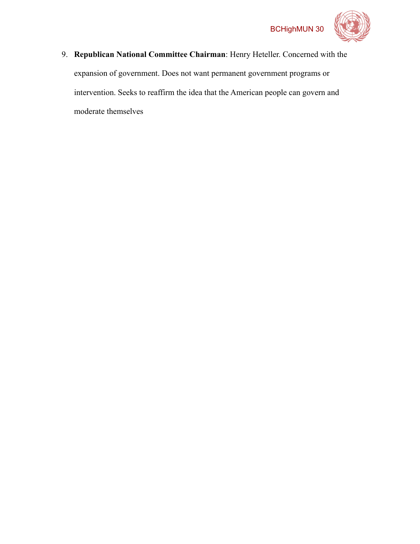

9. **Republican National Committee Chairman**: Henry Heteller. Concerned with the expansion of government. Does not want permanent government programs or intervention. Seeks to reaffirm the idea that the American people can govern and moderate themselves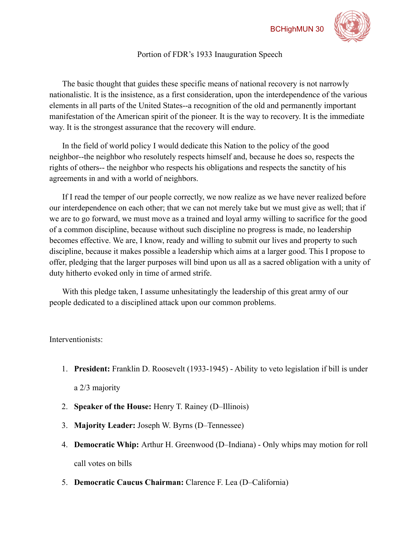

# Portion of FDR's 1933 Inauguration Speech

The basic thought that guides these specific means of national recovery is not narrowly nationalistic. It is the insistence, as a first consideration, upon the interdependence of the various elements in all parts of the United States--a recognition of the old and permanently important manifestation of the American spirit of the pioneer. It is the way to recovery. It is the immediate way. It is the strongest assurance that the recovery will endure.

In the field of world policy I would dedicate this Nation to the policy of the good neighbor--the neighbor who resolutely respects himself and, because he does so, respects the rights of others-- the neighbor who respects his obligations and respects the sanctity of his agreements in and with a world of neighbors.

If I read the temper of our people correctly, we now realize as we have never realized before our interdependence on each other; that we can not merely take but we must give as well; that if we are to go forward, we must move as a trained and loyal army willing to sacrifice for the good of a common discipline, because without such discipline no progress is made, no leadership becomes effective. We are, I know, ready and willing to submit our lives and property to such discipline, because it makes possible a leadership which aims at a larger good. This I propose to offer, pledging that the larger purposes will bind upon us all as a sacred obligation with a unity of duty hitherto evoked only in time of armed strife.

With this pledge taken, I assume unhesitatingly the leadership of this great army of our people dedicated to a disciplined attack upon our common problems.

## Interventionists:

- 1. **President:** Franklin D. Roosevelt (1933-1945) Ability to veto legislation if bill is under a 2/3 majority
- 2. **Speaker of the House:** Henry T. Rainey (D–Illinois)
- 3. **Majority Leader:** Joseph W. Byrns (D–Tennessee)
- 4. **Democratic Whip:** Arthur H. Greenwood (D–Indiana) Only whips may motion for roll call votes on bills
- 5. **Democratic Caucus Chairman:** Clarence F. Lea (D–California)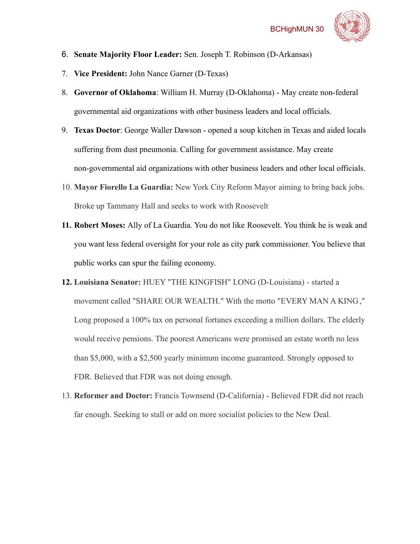

- 6. **Senate Majority Floor Leader:** Sen. Joseph T. Robinson (D-Arkansas)
- 7. **Vice President:** John Nance Garner (D-Texas)
- 8. **Governor of Oklahoma**: William H. Murray (D-Oklahoma) May create non-federal governmental aid organizations with other business leaders and local officials.
- 9. **Texas Doctor**: George Waller Dawson opened a soup kitchen in Texas and aided locals suffering from dust pneumonia. Calling for government assistance. May create non-governmental aid organizations with other business leaders and other local officials.
- 10. **Mayor Fiorello La Guardia:** New York City Reform Mayor aiming to bring back jobs. Broke up Tammany Hall and seeks to work with Roosevelt
- **11. Robert Moses:** Ally of La Guardia. You do not like Roosevelt. You think he is weak and you want less federal oversight for your role as city park commissioner. You believe that public works can spur the failing economy.
- **12. Louisiana Senator:** HUEY "THE KINGFISH" LONG (D-Louisiana) started a movement called "SHARE OUR WEALTH." With the motto "EVERY MAN A KING ," Long proposed a 100% tax on personal fortunes exceeding a million dollars. The elderly would receive pensions. The poorest Americans were promised an estate worth no less than \$5,000, with a \$2,500 yearly minimum income guaranteed. Strongly opposed to FDR. Believed that FDR was not doing enough.
- 13. **Reformer and Doctor:** Francis Townsend (D-California) Believed FDR did not reach far enough. Seeking to stall or add on more socialist policies to the New Deal.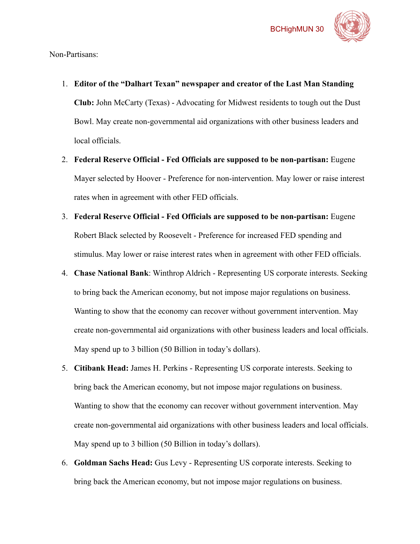

Non-Partisans:

- 1. **Editor of the "Dalhart Texan" newspaper and creator of the Last Man Standing Club:** John McCarty (Texas) - Advocating for Midwest residents to tough out the Dust Bowl. May create non-governmental aid organizations with other business leaders and local officials.
- 2. **Federal Reserve Official Fed Officials are supposed to be non-partisan:** Eugene Mayer selected by Hoover - Preference for non-intervention. May lower or raise interest rates when in agreement with other FED officials.
- 3. **Federal Reserve Official Fed Officials are supposed to be non-partisan:** Eugene Robert Black selected by Roosevelt - Preference for increased FED spending and stimulus. May lower or raise interest rates when in agreement with other FED officials.
- 4. **Chase National Bank**: Winthrop Aldrich Representing US corporate interests. Seeking to bring back the American economy, but not impose major regulations on business. Wanting to show that the economy can recover without government intervention. May create non-governmental aid organizations with other business leaders and local officials. May spend up to 3 billion (50 Billion in today's dollars).
- 5. **Citibank Head:** James H. Perkins Representing US corporate interests. Seeking to bring back the American economy, but not impose major regulations on business. Wanting to show that the economy can recover without government intervention. May create non-governmental aid organizations with other business leaders and local officials. May spend up to 3 billion (50 Billion in today's dollars).
- 6. **Goldman Sachs Head:** Gus Levy Representing US corporate interests. Seeking to bring back the American economy, but not impose major regulations on business.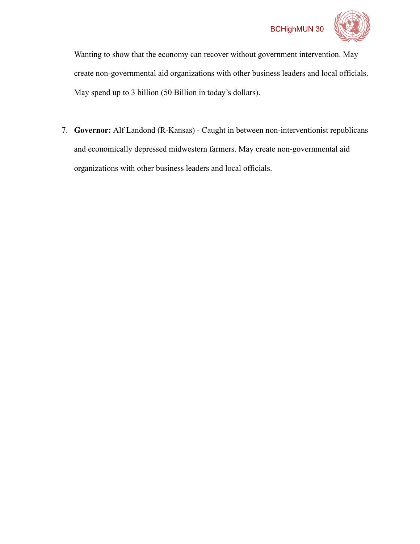

Wanting to show that the economy can recover without government intervention. May create non-governmental aid organizations with other business leaders and local officials. May spend up to 3 billion (50 Billion in today's dollars).

7. **Governor:** Alf Landond (R-Kansas) - Caught in between non-interventionist republicans and economically depressed midwestern farmers. May create non-governmental aid organizations with other business leaders and local officials.